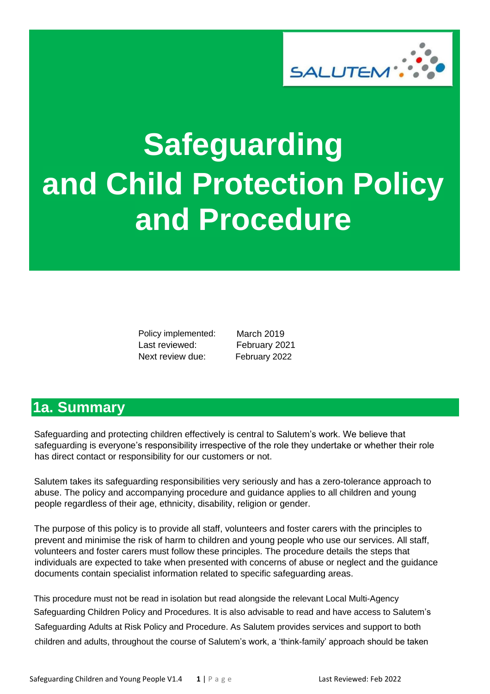

# <span id="page-0-0"></span>**Safeguarding and Child Protection Policy and Procedure**

Policy implemented: Last reviewed: Next review due:

 March 2019 February 2021 February 2022

# **1a. Summary**

Safeguarding and protecting children effectively is central to Salutem's work. We believe that safeguarding is everyone's responsibility irrespective of the role they undertake or whether their role has direct contact or responsibility for our customers or not.

Salutem takes its safeguarding responsibilities very seriously and has a zero-tolerance approach to abuse. The policy and accompanying procedure and guidance applies to all children and young people regardless of their age, ethnicity, disability, religion or gender.

The purpose of this policy is to provide all staff, volunteers and foster carers with the principles to prevent and minimise the risk of harm to children and young people who use our services. All staff, volunteers and foster carers must follow these principles. The procedure details the steps that individuals are expected to take when presented with concerns of abuse or neglect and the guidance documents contain specialist information related to specific safeguarding areas.

This procedure must not be read in isolation but read alongside the relevant Local Multi-Agency Safeguarding Children Policy and Procedures. It is also advisable to read and have access to Salutem's Safeguarding Adults at Risk Policy and Procedure. As Salutem provides services and support to both children and adults, throughout the course of Salutem's work, a 'think-family' approach should be taken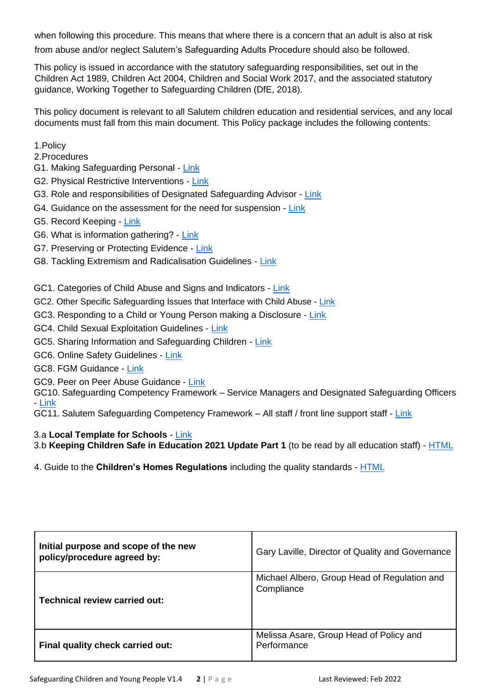<span id="page-1-0"></span>when following this procedure. This means that where there is a concern that an adult is also at risk

from abuse and/or neglect Salutem's Safeguarding Adults Procedure should also be followed.

This policy is issued in accordance with the statutory safeguarding responsibilities, set out in the Children Act 1989, Children Act 2004, Children and Social Work 2017, and the associated statutory guidance, Working Together to Safeguarding Children (DfE, 2018).

This policy document is relevant to all Salutem children education and residential services, and any local documents must fall from this main document. This Policy package includes the following contents:

- 1.Policy
- 2.Procedures
- G1. Making Safeguarding Personal [Link](https://mcusercontent.com/35dd07ec0636978466a601698/files/cf699999-2c93-4f9a-9845-9a6f8d7e2856/Making_Safeguarding_Personal.pdf)
- G2. Physical Restrictive Interventions [Link](https://mcusercontent.com/35dd07ec0636978466a601698/files/8293423d-c673-483c-bea4-0fa0a709f88a/PBS_Policy_Final_Dec_2020.docx)
- G3. Role and responsibilities of Designated Safeguarding Advisor [Link](https://mcusercontent.com/35dd07ec0636978466a601698/files/18435617-ebdc-4f09-8266-b8e16d4ebc59/Briefing_8b_SAFEGUARDING_2_Competency_Framework_for_DSOs_2020.docx)
- G4. Guidance on the assessment for the need for suspension [Link](https://mcusercontent.com/35dd07ec0636978466a601698/files/9e79f9c0-4bf9-4677-aa04-5e0d381de2b7/Assessment_of_the_Need_for_Suspension.pdf)
- G5. Record Keeping [Link](https://mcusercontent.com/35dd07ec0636978466a601698/files/c0151dd0-f7fb-4217-8710-5c8bcb5c2a0d/1._Records_Management_Policy.pdf)
- G6. What is information gathering? [Link](https://mcusercontent.com/35dd07ec0636978466a601698/files/0d2416e6-6d28-4de7-b348-d3a4c6701893/What_is_information_gathering.pdf)
- G7. Preserving or Protecting Evidence [Link](https://mcusercontent.com/35dd07ec0636978466a601698/files/e5b9291f-59d4-4d6b-997e-1e84eb13a4b6/Preserving_or_Protecting_Evidence.pdf)
- G8. Tackling Extremism and Radicalisation Guidelines [Link](https://mcusercontent.com/35dd07ec0636978466a601698/files/10711dff-ba90-4993-8658-b095c4007157/Prevent_Tackling_Extremism_and_Radicalisation_Guidelines.doc)

GC1. Categories of Child Abuse and Signs and Indicators - [Link](https://mcusercontent.com/35dd07ec0636978466a601698/files/bea999d0-ad47-4580-b9cf-11e07b6bfc56/Signs_and_Indicators_of_Abuse_child_.pdf)

- GC2. Other Specific Safeguarding Issues that Interface with Child Abuse [Link](https://mcusercontent.com/35dd07ec0636978466a601698/files/ba7b6607-e254-44b8-8a9a-25236b24244a/Other_Specific_Safeguarding_Issues_that_Interface_with_Child_Abuse.01.doc)
- GC3. Responding to a Child or Young Person making a Disclosure [Link](https://mcusercontent.com/35dd07ec0636978466a601698/files/1e1ea4bd-42a4-4488-b8c1-d74b100c8dbc/Responding_to_a_Child_or_Young_Person_making_a_disclosure.pdf)
- GC4. Child Sexual Exploitation Guidelines [Link](https://mcusercontent.com/35dd07ec0636978466a601698/files/0c69b715-dcec-491a-8cb2-a034fc78aed9/Child_Sexual_Exploitation_Guidelines.pdf)
- GC5. Sharing Information and Safeguarding Children [Link](https://mcusercontent.com/35dd07ec0636978466a601698/files/9609b7b1-1580-4f61-9ba1-c308b0bce50b/information_sharing_to_safeguard_children_and_adults.pdf)

GC6. Online Safety Guidelines - [Link](https://gallery.mailchimp.com/35dd07ec0636978466a601698/files/ee25e381-26df-49b7-9677-f88ad40d15f5/Online_Safety_Guidelines.pdf)

- GC8. FGM Guidance [Link](https://mcusercontent.com/35dd07ec0636978466a601698/files/7be15cc3-1f69-45f7-8bd9-6100d9473fd3/FGM_guidance.pdf)
- GC9. Peer on Peer Abuse Guidance [Link](https://mcusercontent.com/35dd07ec0636978466a601698/files/a34cb16f-6e7f-460b-868d-4c2d63f28a54/Peer_on_Peer_Abuse_Guidance.pdf)

GC10. Safeguarding Competency Framework – Service Managers and Designated Safeguarding Officers - [Link](https://mcusercontent.com/35dd07ec0636978466a601698/files/d55138ea-7b45-4de2-b44e-7ab27c2543de/SAFEGUARDING_2_Competency_Framework_for_DSOs_2020.docx)

GC11. Salutem Safeguarding Competency Framework – All staff / front line support staff - [Link](https://mcusercontent.com/35dd07ec0636978466a601698/files/94eab214-ceda-459e-b6f8-e36795fcc994/SAFEGUARDING_1_Competency_Framework_for_Support_Staff_2020.docx)

#### 3.a **Local Template for Schools** - [Link](https://mcusercontent.com/35dd07ec0636978466a601698/files/922b8dac-dbbb-40d9-ae03-84c5b8088254/LOCAL_SAFEGUARDING_TEMPLATE.doc)

3.b **Keeping Children Safe in Education 2021 Update Part 1** (to be read by all education staff) - [HTML](https://consult.education.gov.uk/safeguarding-in-schools-team/keeping-children-safe-in-education-schools-and-col/supporting_documents/Proposed%20keeping%20children%20safe%20in%20education%20guidance%202021%20%20for%20consultation.pdf)

4. Guide to the **Children's Homes Regulations** including the quality standards - [HTML](https://assets.publishing.service.gov.uk/government/uploads/system/uploads/attachment_data/file/463220/Guide_to_Children_s_Home_Standards_inc_quality_standards_Version__1.17_FINAL.pdf)

| Initial purpose and scope of the new<br>policy/procedure agreed by: | Gary Laville, Director of Quality and Governance           |
|---------------------------------------------------------------------|------------------------------------------------------------|
| Technical review carried out:                                       | Michael Albero, Group Head of Regulation and<br>Compliance |
| Final quality check carried out:                                    | Melissa Asare, Group Head of Policy and<br>Performance     |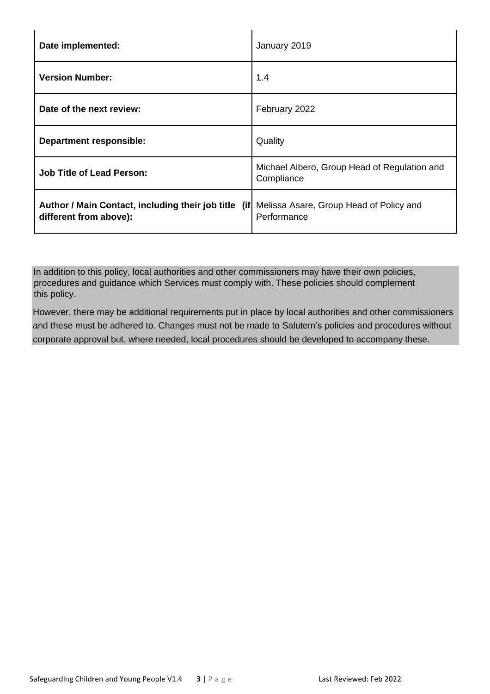| Date implemented:                                                              | January 2019                                               |
|--------------------------------------------------------------------------------|------------------------------------------------------------|
| <b>Version Number:</b>                                                         | 1.4                                                        |
| Date of the next review:                                                       | February 2022                                              |
| <b>Department responsible:</b>                                                 | Quality                                                    |
| <b>Job Title of Lead Person:</b>                                               | Michael Albero, Group Head of Regulation and<br>Compliance |
| Author / Main Contact, including their job title (if<br>different from above): | Melissa Asare, Group Head of Policy and<br>Performance     |

In addition to this policy, local authorities and other commissioners may have their own policies, procedures and guidance which Services must comply with. These policies should complement this policy.

However, there may be additional requirements put in place by local authorities and other commissioners and these must be adhered to. Changes must not be made to Salutem's policies and procedures without corporate approval but, where needed, local procedures should be developed to accompany these.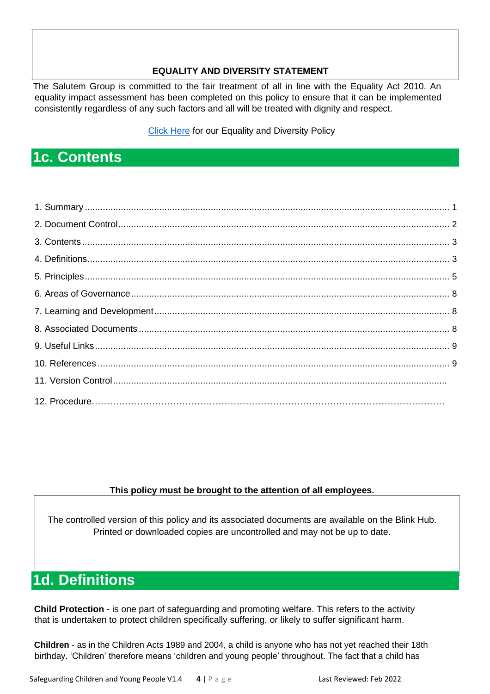#### **EQUALITY AND DIVERSITY STATEMENT**

<span id="page-3-0"></span>The Salutem Group is committed to the fair treatment of all in line with the Equality Act 2010. An equality impact assessment has been completed on this policy to ensure that it can be implemented consistently regardless of any such factors and all will be treated with dignity and respect.

**[Click Here](https://mcusercontent.com/35dd07ec0636978466a601698/files/0d87364a-caee-4b7c-a492-e2a04e0f78dc/1._Policy_Equal_Opportunities_and_Diversity.docx) for our Equality and Diversity Policy** 

# **1c. Contents**

### **This policy must be brought to the attention of all employees.**

The controlled version of this policy and its associated documents are available on the Blink Hub. Printed or downloaded copies are uncontrolled and may not be up to date.

# **1d. Definitions**

**Child Protection** - is one part of safeguarding and promoting welfare. This refers to the activity that is undertaken to protect children specifically suffering, or likely to suffer significant harm.

**Children** - as in the Children Acts 1989 and 2004, a child is anyone who has not yet reached their 18th birthday. 'Children' therefore means 'children and young people' throughout. The fact that a child has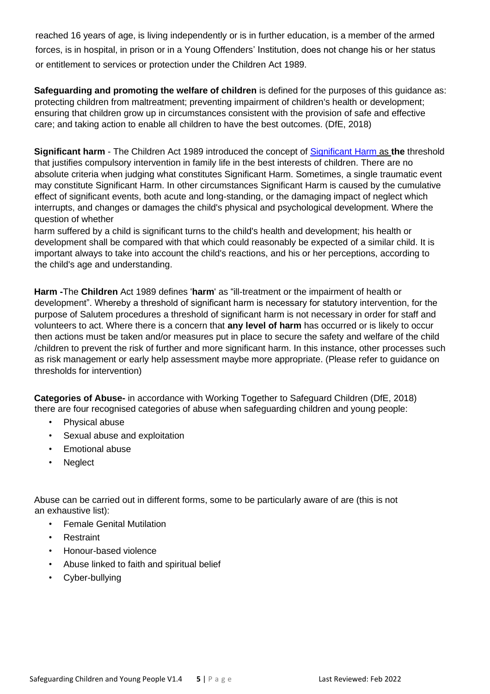reached 16 years of age, is living independently or is in further education, is a member of the armed forces, is in hospital, in prison or in a Young Offenders' Institution, does not change his or her status or entitlement to services or protection under the Children Act 1989.

**Safeguarding and promoting the welfare of children** is defined for the purposes of this guidance as: protecting children from maltreatment; preventing impairment of children's health or development; ensuring that children grow up in circumstances consistent with the provision of safe and effective care; and taking action to enable all children to have the best outcomes. (DfE, 2018)

**Significant harm** - The Children Act 1989 introduced the concept of [Significant Harm](http://www.proceduresonline.com/resources/keywords_online/nat_key/keywords/significant_harm.html) as **the** threshold that justifies compulsory intervention in family life in the best interests of children. There are no absolute criteria when judging what constitutes Significant Harm. Sometimes, a single traumatic event may constitute Significant Harm. In other circumstances Significant Harm is caused by the cumulative effect of significant events, both acute and long-standing, or the damaging impact of neglect which interrupts, and changes or damages the child's physical and psychological development. Where the question of whether

harm suffered by a child is significant turns to the child's health and development; his health or development shall be compared with that which could reasonably be expected of a similar child. It is important always to take into account the child's reactions, and his or her perceptions, according to the child's age and understanding.

**Harm -**The **Children** Act 1989 defines '**harm**' as "ill-treatment or the impairment of health or development". Whereby a threshold of significant harm is necessary for statutory intervention, for the purpose of Salutem procedures a threshold of significant harm is not necessary in order for staff and volunteers to act. Where there is a concern that **any level of harm** has occurred or is likely to occur then actions must be taken and/or measures put in place to secure the safety and welfare of the child /children to prevent the risk of further and more significant harm. In this instance, other processes such as risk management or early help assessment maybe more appropriate. (Please refer to guidance on thresholds for intervention)

**Categories of Abuse-** in accordance with Working Together to Safeguard Children (DfE, 2018) there are four recognised categories of abuse when safeguarding children and young people:

- Physical abuse
- Sexual abuse and exploitation
- Emotional abuse
- Neglect

Abuse can be carried out in different forms, some to be particularly aware of are (this is not an exhaustive list):

- Female Genital Mutilation
- **Restraint**
- Honour-based violence
- Abuse linked to faith and spiritual belief
- Cyber-bullying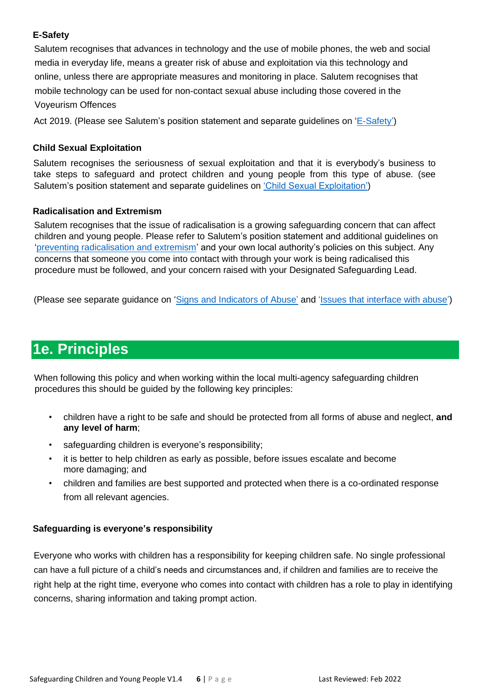### <span id="page-5-0"></span>**E-Safety**

Salutem recognises that advances in technology and the use of mobile phones, the web and social media in everyday life, means a greater risk of abuse and exploitation via this technology and online, unless there are appropriate measures and monitoring in place. Salutem recognises that mobile technology can be used for non-contact sexual abuse including those covered in the Voyeurism Offences

Act 2019. (Please see Salutem's position statement and separate guidelines on ['E-Safety'\)](https://mcusercontent.com/35dd07ec0636978466a601698/files/4ff6ecb2-d73a-485a-b86b-d86d08f7489d/E_Safety_Guidelines_4_.01.docx)

### **Child Sexual Exploitation**

Salutem recognises the seriousness of sexual exploitation and that it is everybody's business to take steps to safeguard and protect children and young people from this type of abuse. (see Salutem's position statement and separate guidelines on ['Child Sexual Exploitation'\)](https://mcusercontent.com/35dd07ec0636978466a601698/files/0c69b715-dcec-491a-8cb2-a034fc78aed9/Child_Sexual_Exploitation_Guidelines.pdf)

#### **Radicalisation and Extremism**

Salutem recognises that the issue of radicalisation is a growing safeguarding concern that can affect children and young people. Please refer to Salutem's position statement and additional guidelines on ['preventing radicalisation and extremism'](https://mcusercontent.com/35dd07ec0636978466a601698/files/10711dff-ba90-4993-8658-b095c4007157/Prevent_Tackling_Extremism_and_Radicalisation_Guidelines.doc) and your own local authority's policies on this subject. Any concerns that someone you come into contact with through your work is being radicalised this procedure must be followed, and your concern raised with your Designated Safeguarding Lead.

(Please see separate guidance on ['Signs and Indicators of Abuse'](https://mcusercontent.com/35dd07ec0636978466a601698/files/afd2c7ab-5643-4097-91e7-51acb988d01b/3._Signs_and_Indicators_of_Abuse_adults_.pdf) and ['Issues that interface with abuse'](https://mcusercontent.com/35dd07ec0636978466a601698/files/de004adc-8ff1-4a1c-af96-d5f8bf4e9fa5/Other_Specific_Safeguarding_Issues_that_Interface_with_Child_Abuse.doc))

# **1e. Principles**

When following this policy and when working within the local multi-agency safeguarding children procedures this should be guided by the following key principles:

- children have a right to be safe and should be protected from all forms of abuse and neglect, **and any level of harm**;
- safeguarding children is everyone's responsibility;
- it is better to help children as early as possible, before issues escalate and become more damaging; and
- children and families are best supported and protected when there is a co-ordinated response from all relevant agencies.

### **Safeguarding is everyone's responsibility**

Everyone who works with children has a responsibility for keeping children safe. No single professional can have a full picture of a child's needs and circumstances and, if children and families are to receive the right help at the right time, everyone who comes into contact with children has a role to play in identifying concerns, sharing information and taking prompt action.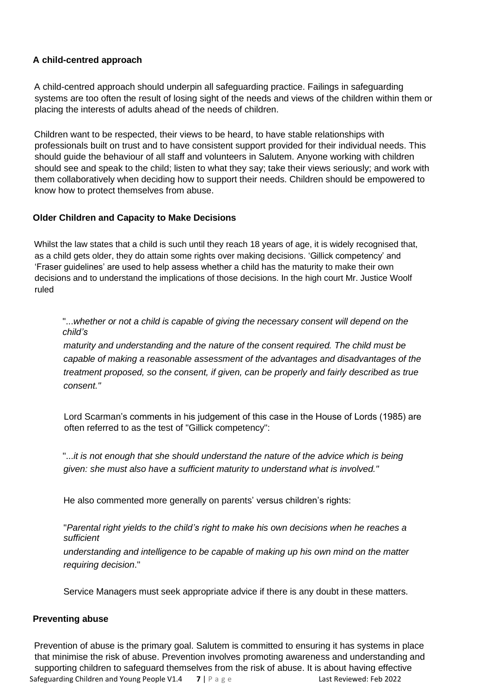### **A child-centred approach**

A child-centred approach should underpin all safeguarding practice. Failings in safeguarding systems are too often the result of losing sight of the needs and views of the children within them or placing the interests of adults ahead of the needs of children.

Children want to be respected, their views to be heard, to have stable relationships with professionals built on trust and to have consistent support provided for their individual needs. This should guide the behaviour of all staff and volunteers in Salutem. Anyone working with children should see and speak to the child; listen to what they say; take their views seriously; and work with them collaboratively when deciding how to support their needs. Children should be empowered to know how to protect themselves from abuse.

### **Older Children and Capacity to Make Decisions**

Whilst the law states that a child is such until they reach 18 years of age, it is widely recognised that, as a child gets older, they do attain some rights over making decisions. 'Gillick competency' and 'Fraser guidelines' are used to help assess whether a child has the maturity to make their own decisions and to understand the implications of those decisions. In the high court Mr. Justice Woolf ruled

### "...*whether or not a child is capable of giving the necessary consent will depend on the child's*

*maturity and understanding and the nature of the consent required. The child must be capable of making a reasonable assessment of the advantages and disadvantages of the treatment proposed, so the consent, if given, can be properly and fairly described as true consent."*

Lord Scarman's comments in his judgement of this case in the House of Lords (1985) are often referred to as the test of "Gillick competency":

"...*it is not enough that she should understand the nature of the advice which is being given: she must also have a sufficient maturity to understand what is involved."*

He also commented more generally on parents' versus children's rights:

"*Parental right yields to the child's right to make his own decisions when he reaches a sufficient*

*understanding and intelligence to be capable of making up his own mind on the matter requiring decision*."

Service Managers must seek appropriate advice if there is any doubt in these matters.

#### **Preventing abuse**

Safeguarding Children and Young People V1.4 **7** | P a g e Last Reviewed: Feb 2022 Prevention of abuse is the primary goal. Salutem is committed to ensuring it has systems in place that minimise the risk of abuse. Prevention involves promoting awareness and understanding and supporting children to safeguard themselves from the risk of abuse. It is about having effective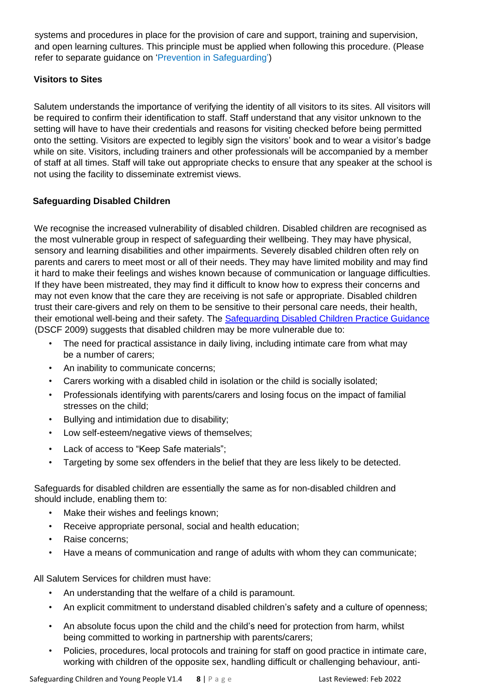systems and procedures in place for the provision of care and support, training and supervision, and open learning cultures. This principle must be applied when following this procedure. (Please refer to separate guidance on 'Prevention in Safeguarding')

### **Visitors to Sites**

Salutem understands the importance of verifying the identity of all visitors to its sites. All visitors will be required to confirm their identification to staff. Staff understand that any visitor unknown to the setting will have to have their credentials and reasons for visiting checked before being permitted onto the setting. Visitors are expected to legibly sign the visitors' book and to wear a visitor's badge while on site. Visitors, including trainers and other professionals will be accompanied by a member of staff at all times. Staff will take out appropriate checks to ensure that any speaker at the school is not using the facility to disseminate extremist views.

### **Safeguarding Disabled Children**

We recognise the increased vulnerability of disabled children. Disabled children are recognised as the most vulnerable group in respect of safeguarding their wellbeing. They may have physical, sensory and learning disabilities and other impairments. Severely disabled children often rely on parents and carers to meet most or all of their needs. They may have limited mobility and may find it hard to make their feelings and wishes known because of communication or language difficulties. If they have been mistreated, they may find it difficult to know how to express their concerns and may not even know that the care they are receiving is not safe or appropriate. Disabled children trust their care-givers and rely on them to be sensitive to their personal care needs, their health, their emotional well-being and their safety. The [Safeguarding Disabled Children Practice Guidance](https://www.education.gov.uk/publications/standard/publicationDetail/Page1/DCSF-00374-2009) (DSCF 2009) suggests that disabled children may be more vulnerable due to:

- The need for practical assistance in daily living, including intimate care from what may be a number of carers;
- An inability to communicate concerns;
- Carers working with a disabled child in isolation or the child is socially isolated;
- Professionals identifying with parents/carers and losing focus on the impact of familial stresses on the child;
- Bullying and intimidation due to disability;
- Low self-esteem/negative views of themselves;
- Lack of access to "Keep Safe materials";
- Targeting by some sex offenders in the belief that they are less likely to be detected.

Safeguards for disabled children are essentially the same as for non-disabled children and should include, enabling them to:

- Make their wishes and feelings known;
- Receive appropriate personal, social and health education;
- Raise concerns;
- Have a means of communication and range of adults with whom they can communicate;

All Salutem Services for children must have:

- An understanding that the welfare of a child is paramount.
- An explicit commitment to understand disabled children's safety and a culture of openness;
- <span id="page-7-0"></span>• An absolute focus upon the child and the child's need for protection from harm, whilst being committed to working in partnership with parents/carers;
- Policies, procedures, local protocols and training for staff on good practice in intimate care, working with children of the opposite sex, handling difficult or challenging behaviour, anti-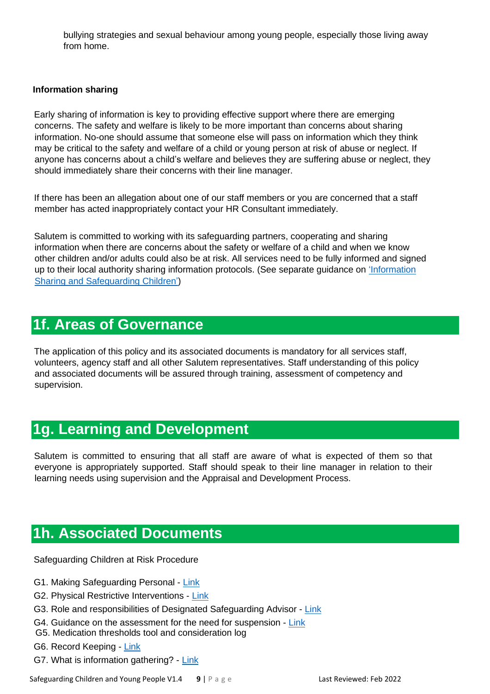bullying strategies and sexual behaviour among young people, especially those living away from home.

#### **Information sharing**

Early sharing of information is key to providing effective support where there are emerging concerns. The safety and welfare is likely to be more important than concerns about sharing information. No-one should assume that someone else will pass on information which they think may be critical to the safety and welfare of a child or young person at risk of abuse or neglect. If anyone has concerns about a child's welfare and believes they are suffering abuse or neglect, they should immediately share their concerns with their line manager.

If there has been an allegation about one of our staff members or you are concerned that a staff member has acted inappropriately contact your HR Consultant immediately.

Salutem is committed to working with its safeguarding partners, cooperating and sharing information when there are concerns about the safety or welfare of a child and when we know other children and/or adults could also be at risk. All services need to be fully informed and signed up to their local authority sharing information protocols. (See separate guidance on ['Information](https://mcusercontent.com/35dd07ec0636978466a601698/files/9609b7b1-1580-4f61-9ba1-c308b0bce50b/information_sharing_to_safeguard_children_and_adults.pdf)  [Sharing and Safeguarding](https://mcusercontent.com/35dd07ec0636978466a601698/files/9609b7b1-1580-4f61-9ba1-c308b0bce50b/information_sharing_to_safeguard_children_and_adults.pdf) Children')

# **1f. Areas of Governance**

The application of this policy and its associated documents is mandatory for all services staff, volunteers, agency staff and all other Salutem representatives. Staff understanding of this policy and associated documents will be assured through training, assessment of competency and supervision.

# **1g. Learning and Development**

Salutem is committed to ensuring that all staff are aware of what is expected of them so that everyone is appropriately supported. Staff should speak to their line manager in relation to their learning needs using supervision and the Appraisal and Development Process.

# **1h. Associated Documents**

Safeguarding Children at Risk Procedure

- G1. Making Safeguarding Personal [Link](https://mcusercontent.com/35dd07ec0636978466a601698/files/cf699999-2c93-4f9a-9845-9a6f8d7e2856/Making_Safeguarding_Personal.pdf)
- G2. Physical Restrictive Interventions [Link](https://mcusercontent.com/35dd07ec0636978466a601698/files/8293423d-c673-483c-bea4-0fa0a709f88a/PBS_Policy_Final_Dec_2020.docx)
- G3. Role and responsibilities of Designated Safeguarding Advisor [Link](https://mcusercontent.com/35dd07ec0636978466a601698/files/18435617-ebdc-4f09-8266-b8e16d4ebc59/Briefing_8b_SAFEGUARDING_2_Competency_Framework_for_DSOs_2020.docx)
- G4. Guidance on the assessment for the need for suspension [Link](https://mcusercontent.com/35dd07ec0636978466a601698/files/9e79f9c0-4bf9-4677-aa04-5e0d381de2b7/Assessment_of_the_Need_for_Suspension.pdf)
- <span id="page-8-0"></span>G5. Medication thresholds tool and consideration log
- G6. Record Keeping [Link](https://mcusercontent.com/35dd07ec0636978466a601698/files/c0151dd0-f7fb-4217-8710-5c8bcb5c2a0d/1._Records_Management_Policy.pdf)
- G7. What is information gathering? [Link](https://mcusercontent.com/35dd07ec0636978466a601698/files/0d2416e6-6d28-4de7-b348-d3a4c6701893/What_is_information_gathering.pdf)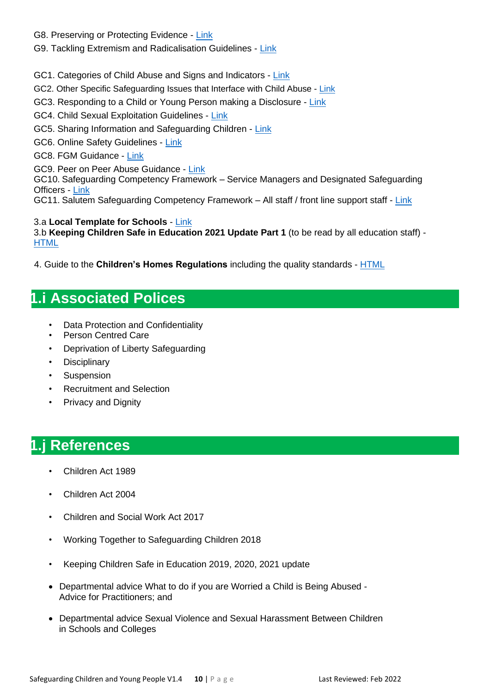- G8. Preserving or Protecting Evidence [Link](https://mcusercontent.com/35dd07ec0636978466a601698/files/e5b9291f-59d4-4d6b-997e-1e84eb13a4b6/Preserving_or_Protecting_Evidence.pdf)
- G9. Tackling Extremism and Radicalisation Guidelines [Link](https://mcusercontent.com/35dd07ec0636978466a601698/files/10711dff-ba90-4993-8658-b095c4007157/Prevent_Tackling_Extremism_and_Radicalisation_Guidelines.doc)
- GC1. Categories of Child Abuse and Signs and Indicators [Link](https://mcusercontent.com/35dd07ec0636978466a601698/files/bea999d0-ad47-4580-b9cf-11e07b6bfc56/Signs_and_Indicators_of_Abuse_child_.pdf)
- GC2. Other Specific Safeguarding Issues that Interface with Child Abuse [Link](https://mcusercontent.com/35dd07ec0636978466a601698/files/ba7b6607-e254-44b8-8a9a-25236b24244a/Other_Specific_Safeguarding_Issues_that_Interface_with_Child_Abuse.01.doc)
- GC3. Responding to a Child or Young Person making a Disclosure [Link](https://mcusercontent.com/35dd07ec0636978466a601698/files/1e1ea4bd-42a4-4488-b8c1-d74b100c8dbc/Responding_to_a_Child_or_Young_Person_making_a_disclosure.pdf)
- GC4. Child Sexual Exploitation Guidelines [Link](https://mcusercontent.com/35dd07ec0636978466a601698/files/0c69b715-dcec-491a-8cb2-a034fc78aed9/Child_Sexual_Exploitation_Guidelines.pdf)
- GC5. Sharing Information and Safeguarding Children [Link](https://mcusercontent.com/35dd07ec0636978466a601698/files/9609b7b1-1580-4f61-9ba1-c308b0bce50b/information_sharing_to_safeguard_children_and_adults.pdf)
- GC6. Online Safety Guidelines [Link](https://gallery.mailchimp.com/35dd07ec0636978466a601698/files/ee25e381-26df-49b7-9677-f88ad40d15f5/Online_Safety_Guidelines.pdf)
- GC8. FGM Guidance [Link](https://mcusercontent.com/35dd07ec0636978466a601698/files/7be15cc3-1f69-45f7-8bd9-6100d9473fd3/FGM_guidance.pdf)
- GC9. Peer on Peer Abuse Guidance [Link](https://mcusercontent.com/35dd07ec0636978466a601698/files/a34cb16f-6e7f-460b-868d-4c2d63f28a54/Peer_on_Peer_Abuse_Guidance.pdf)

GC10. Safeguarding Competency Framework – Service Managers and Designated Safeguarding Officers - [Link](https://mcusercontent.com/35dd07ec0636978466a601698/files/d55138ea-7b45-4de2-b44e-7ab27c2543de/SAFEGUARDING_2_Competency_Framework_for_DSOs_2020.docx)

GC11. Salutem Safeguarding Competency Framework – All staff / front line support staff - [Link](https://mcusercontent.com/35dd07ec0636978466a601698/files/94eab214-ceda-459e-b6f8-e36795fcc994/SAFEGUARDING_1_Competency_Framework_for_Support_Staff_2020.docx)

#### 3.a **Local Template for Schools** - [Link](https://mcusercontent.com/35dd07ec0636978466a601698/files/922b8dac-dbbb-40d9-ae03-84c5b8088254/LOCAL_SAFEGUARDING_TEMPLATE.doc) 3.b **Keeping Children Safe in Education 2021 Update Part 1** (to be read by all education staff) - **[HTML](https://consult.education.gov.uk/safeguarding-in-schools-team/keeping-children-safe-in-education-schools-and-col/supporting_documents/Proposed%20keeping%20children%20safe%20in%20education%20guidance%202021%20%20for%20consultation.pdf)**

4. Guide to the **Children's Homes Regulations** including the quality standards - [HTML](https://assets.publishing.service.gov.uk/government/uploads/system/uploads/attachment_data/file/463220/Guide_to_Children_s_Home_Standards_inc_quality_standards_Version__1.17_FINAL.pdf)

# **1.i Associated Polices**

- Data Protection and Confidentiality
- Person Centred Care
- Deprivation of Liberty Safeguarding
- Disciplinary
- Suspension
- Recruitment and Selection
- Privacy and Dignity

# **1.j References**

- Children Act 1989
- Children Act 2004
- Children and Social Work Act 2017
- Working Together to Safeguarding Children 2018
- Keeping Children Safe in Education 2019, 2020, 2021 update
- Departmental advice What to do if you are Worried a Child is Being Abused Advice for Practitioners; and
- Departmental advice Sexual Violence and Sexual Harassment Between Children in Schools and Colleges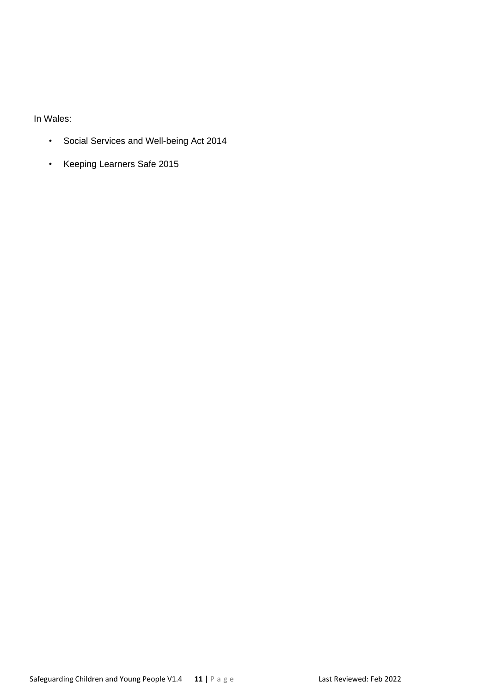In Wales:

- Social Services and Well-being Act 2014
- Keeping Learners Safe 2015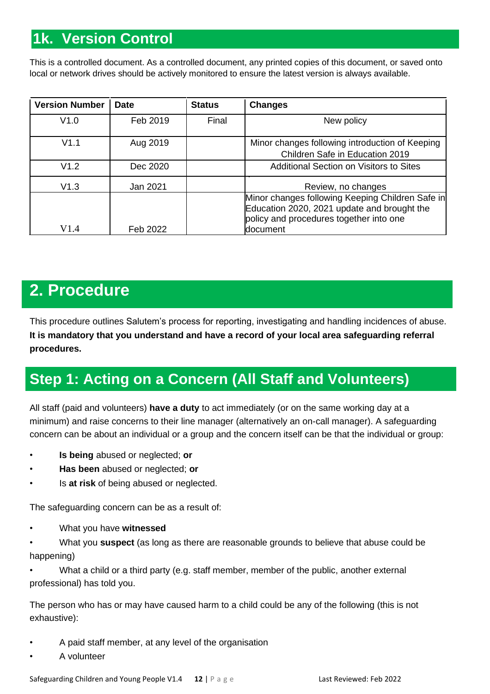# **1k. Version Control**

<span id="page-11-0"></span>This is a controlled document. As a controlled document, any printed copies of this document, or saved onto local or network drives should be actively monitored to ensure the latest version is always available.

| <b>Version Number</b> | <b>Date</b> | <b>Status</b> | <b>Changes</b>                                                                                                                                         |
|-----------------------|-------------|---------------|--------------------------------------------------------------------------------------------------------------------------------------------------------|
| V1.0                  | Feb 2019    | Final         | New policy                                                                                                                                             |
| V1.1                  | Aug 2019    |               | Minor changes following introduction of Keeping<br>Children Safe in Education 2019                                                                     |
| V1.2                  | Dec 2020    |               | <b>Additional Section on Visitors to Sites</b>                                                                                                         |
| V1.3                  | Jan 2021    |               | Review, no changes                                                                                                                                     |
| V1.4                  | Feb 2022    |               | Minor changes following Keeping Children Safe in<br>Education 2020, 2021 update and brought the<br>policy and procedures together into one<br>document |

# **2. Procedure**

This procedure outlines Salutem's process for reporting, investigating and handling incidences of abuse. **It is mandatory that you understand and have a record of your local area safeguarding referral procedures.**

# **Step 1: Acting on a Concern (All Staff and Volunteers)**

All staff (paid and volunteers) **have a duty** to act immediately (or on the same working day at a minimum) and raise concerns to their line manager (alternatively an on-call manager). A safeguarding concern can be about an individual or a group and the concern itself can be that the individual or group:

- **Is being** abused or neglected; **or**
- **Has been** abused or neglected; **or**
- Is **at risk** of being abused or neglected.

The safeguarding concern can be as a result of:

• What you have **witnessed**

• What you **suspect** (as long as there are reasonable grounds to believe that abuse could be happening)

• What a child or a third party (e.g. staff member, member of the public, another external professional) has told you.

The person who has or may have caused harm to a child could be any of the following (this is not exhaustive):

- A paid staff member, at any level of the organisation
- A volunteer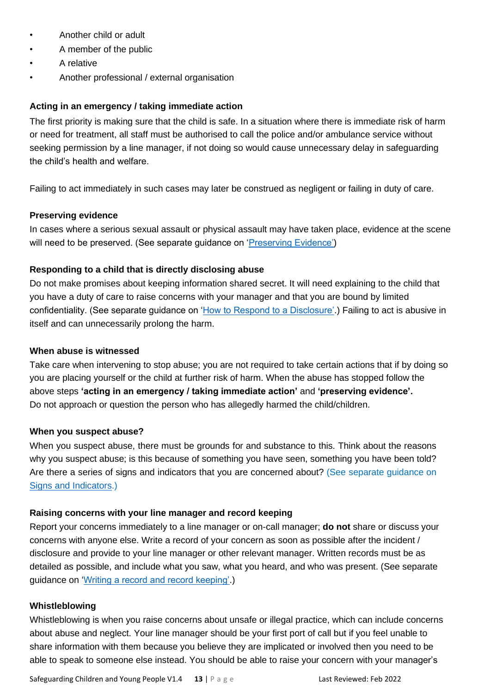- Another child or adult
- A member of the public
- A relative
- Another professional / external organisation

#### **Acting in an emergency / taking immediate action**

The first priority is making sure that the child is safe. In a situation where there is immediate risk of harm or need for treatment, all staff must be authorised to call the police and/or ambulance service without seeking permission by a line manager, if not doing so would cause unnecessary delay in safeguarding the child's health and welfare.

Failing to act immediately in such cases may later be construed as negligent or failing in duty of care.

#### **Preserving evidence**

In cases where a serious sexual assault or physical assault may have taken place, evidence at the scene will need to be preserved. (See separate guidance on ['Preserving Evidence'\)](https://mcusercontent.com/35dd07ec0636978466a601698/files/e5b9291f-59d4-4d6b-997e-1e84eb13a4b6/Preserving_or_Protecting_Evidence.pdf)

#### **Responding to a child that is directly disclosing abuse**

Do not make promises about keeping information shared secret. It will need explaining to the child that you have a duty of care to raise concerns with your manager and that you are bound by limited confidentiality. (See separate guidance on ['How to Respond to a Disclosure'.](https://mcusercontent.com/35dd07ec0636978466a601698/files/1e1ea4bd-42a4-4488-b8c1-d74b100c8dbc/Responding_to_a_Child_or_Young_Person_making_a_disclosure.pdf)) Failing to act is abusive in itself and can unnecessarily prolong the harm.

#### **When abuse is witnessed**

Take care when intervening to stop abuse; you are not required to take certain actions that if by doing so you are placing yourself or the child at further risk of harm. When the abuse has stopped follow the above steps **'acting in an emergency / taking immediate action'** and **'preserving evidence'.** Do not approach or question the person who has allegedly harmed the child/children.

#### **When you suspect abuse?**

When you suspect abuse, there must be grounds for and substance to this. Think about the reasons why you suspect abuse; is this because of something you have seen, something you have been told? Are there a series of signs and indicators that you are concerned about? (See separate guidance on [Signs and Indicators.](https://mcusercontent.com/35dd07ec0636978466a601698/files/bea999d0-ad47-4580-b9cf-11e07b6bfc56/Signs_and_Indicators_of_Abuse_child_.pdf))

#### **Raising concerns with your line manager and record keeping**

Report your concerns immediately to a line manager or on-call manager; **do not** share or discuss your concerns with anyone else. Write a record of your concern as soon as possible after the incident / disclosure and provide to your line manager or other relevant manager. Written records must be as detailed as possible, and include what you saw, what you heard, and who was present. (See separate guidance on ['Writing a record and record keeping'.](https://mcusercontent.com/35dd07ec0636978466a601698/files/c0151dd0-f7fb-4217-8710-5c8bcb5c2a0d/1._Records_Management_Policy.pdf))

#### **Whistleblowing**

Whistleblowing is when you raise concerns about unsafe or illegal practice, which can include concerns about abuse and neglect. Your line manager should be your first port of call but if you feel unable to share information with them because you believe they are implicated or involved then you need to be able to speak to someone else instead. You should be able to raise your concern with your manager's

Safeguarding Children and Young People V1.4 **13** | P a g e Last Reviewed: Feb 2022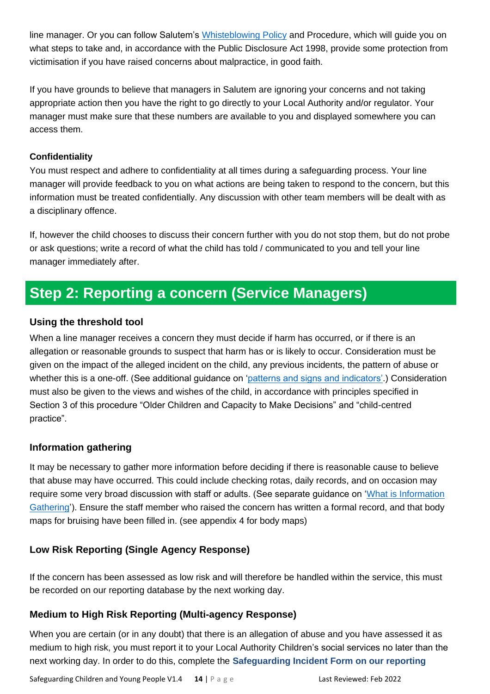line manager. Or you can follow Salutem's [Whisteblowing](https://mcusercontent.com/35dd07ec0636978466a601698/files/bdfd5184-1fe5-4ba6-a5a2-c85dd99fec21/Whistleblowing_Policy_v1_002_.pdf) Policy and Procedure, which will guide you on what steps to take and, in accordance with the Public Disclosure Act 1998, provide some protection from victimisation if you have raised concerns about malpractice, in good faith.

If you have grounds to believe that managers in Salutem are ignoring your concerns and not taking appropriate action then you have the right to go directly to your Local Authority and/or regulator. Your manager must make sure that these numbers are available to you and displayed somewhere you can access them.

### **Confidentiality**

You must respect and adhere to confidentiality at all times during a safeguarding process. Your line manager will provide feedback to you on what actions are being taken to respond to the concern, but this information must be treated confidentially. Any discussion with other team members will be dealt with as a disciplinary offence.

If, however the child chooses to discuss their concern further with you do not stop them, but do not probe or ask questions; write a record of what the child has told / communicated to you and tell your line manager immediately after.

# **Step 2: Reporting a concern (Service Managers)**

# **Using the threshold tool**

When a line manager receives a concern they must decide if harm has occurred, or if there is an allegation or reasonable grounds to suspect that harm has or is likely to occur. Consideration must be given on the impact of the alleged incident on the child, any previous incidents, the pattern of abuse or whether this is a one-off. (See additional guidance on ['patterns and signs and indicators'.](https://mcusercontent.com/35dd07ec0636978466a601698/files/bea999d0-ad47-4580-b9cf-11e07b6bfc56/Signs_and_Indicators_of_Abuse_child_.pdf)) Consideration must also be given to the views and wishes of the child, in accordance with principles specified in Section 3 of this procedure "Older Children and Capacity to Make Decisions" and "child-centred practice".

# **Information gathering**

It may be necessary to gather more information before deciding if there is reasonable cause to believe that abuse may have occurred. This could include checking rotas, daily records, and on occasion may require some very broad discussion with staff or adults. (See separate guidance on ['What is Information](https://mcusercontent.com/35dd07ec0636978466a601698/files/0d2416e6-6d28-4de7-b348-d3a4c6701893/What_is_information_gathering.pdf) [Gathering'\)](https://mcusercontent.com/35dd07ec0636978466a601698/files/0d2416e6-6d28-4de7-b348-d3a4c6701893/What_is_information_gathering.pdf). Ensure the staff member who raised the concern has written a formal record, and that body maps for bruising have been filled in. (see appendix 4 for body maps)

# **Low Risk Reporting (Single Agency Response)**

If the concern has been assessed as low risk and will therefore be handled within the service, this must be recorded on our reporting database by the next working day.

# **Medium to High Risk Reporting (Multi-agency Response)**

When you are certain (or in any doubt) that there is an allegation of abuse and you have assessed it as medium to high risk, you must report it to your Local Authority Children's social services no later than the next working day. In order to do this, complete the **Safeguarding Incident Form on our reporting** 

Safeguarding Children and Young People V1.4 **14** | P a g e Last Reviewed: Feb 2022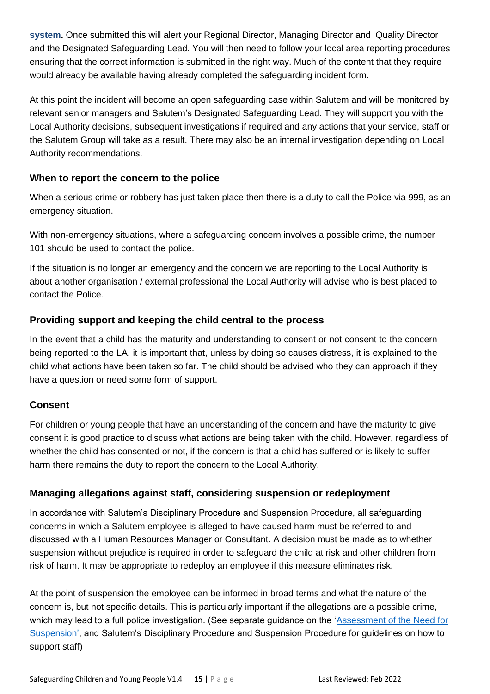**system.** Once submitted this will alert your Regional Director, Managing Director and Quality Director and the Designated Safeguarding Lead. You will then need to follow your local area reporting procedures ensuring that the correct information is submitted in the right way. Much of the content that they require would already be available having already completed the safeguarding incident form.

At this point the incident will become an open safeguarding case within Salutem and will be monitored by relevant senior managers and Salutem's Designated Safeguarding Lead. They will support you with the Local Authority decisions, subsequent investigations if required and any actions that your service, staff or the Salutem Group will take as a result. There may also be an internal investigation depending on Local Authority recommendations.

## **When to report the concern to the police**

When a serious crime or robbery has just taken place then there is a duty to call the Police via 999, as an emergency situation.

With non-emergency situations, where a safeguarding concern involves a possible crime, the number 101 should be used to contact the police.

If the situation is no longer an emergency and the concern we are reporting to the Local Authority is about another organisation / external professional the Local Authority will advise who is best placed to contact the Police.

# **Providing support and keeping the child central to the process**

In the event that a child has the maturity and understanding to consent or not consent to the concern being reported to the LA, it is important that, unless by doing so causes distress, it is explained to the child what actions have been taken so far. The child should be advised who they can approach if they have a question or need some form of support.

# **Consent**

For children or young people that have an understanding of the concern and have the maturity to give consent it is good practice to discuss what actions are being taken with the child. However, regardless of whether the child has consented or not, if the concern is that a child has suffered or is likely to suffer harm there remains the duty to report the concern to the Local Authority.

# **Managing allegations against staff, considering suspension or redeployment**

In accordance with Salutem's Disciplinary Procedure and Suspension Procedure, all safeguarding concerns in which a Salutem employee is alleged to have caused harm must be referred to and discussed with a Human Resources Manager or Consultant. A decision must be made as to whether suspension without prejudice is required in order to safeguard the child at risk and other children from risk of harm. It may be appropriate to redeploy an employee if this measure eliminates risk.

At the point of suspension the employee can be informed in broad terms and what the nature of the concern is, but not specific details. This is particularly important if the allegations are a possible crime, which may lead to a full police investigation. (See separate guidance on the ['Assessment of](https://mcusercontent.com/35dd07ec0636978466a601698/files/9e79f9c0-4bf9-4677-aa04-5e0d381de2b7/Assessment_of_the_Need_for_Suspension.pdf) the Need for [Suspension',](https://mcusercontent.com/35dd07ec0636978466a601698/files/9e79f9c0-4bf9-4677-aa04-5e0d381de2b7/Assessment_of_the_Need_for_Suspension.pdf) and Salutem's Disciplinary Procedure and Suspension Procedure for guidelines on how to support staff)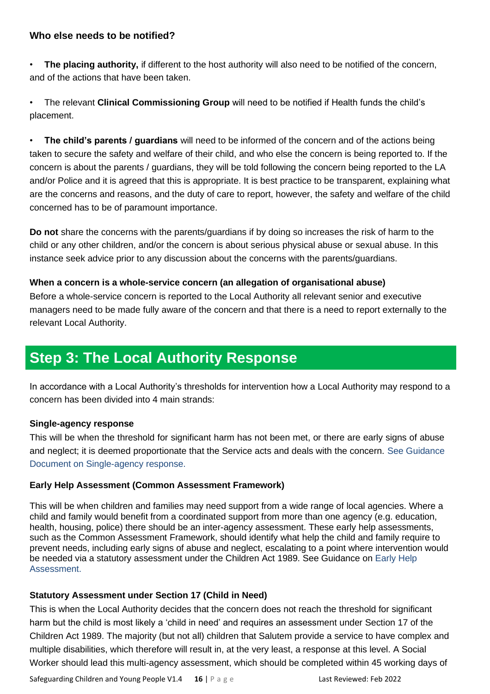### **Who else needs to be notified?**

• **The placing authority,** if different to the host authority will also need to be notified of the concern, and of the actions that have been taken.

• The relevant **Clinical Commissioning Group** will need to be notified if Health funds the child's placement.

• **The child's parents / guardians** will need to be informed of the concern and of the actions being taken to secure the safety and welfare of their child, and who else the concern is being reported to. If the concern is about the parents / guardians, they will be told following the concern being reported to the LA and/or Police and it is agreed that this is appropriate. It is best practice to be transparent, explaining what are the concerns and reasons, and the duty of care to report, however, the safety and welfare of the child concerned has to be of paramount importance.

**Do not** share the concerns with the parents/guardians if by doing so increases the risk of harm to the child or any other children, and/or the concern is about serious physical abuse or sexual abuse. In this instance seek advice prior to any discussion about the concerns with the parents/guardians.

#### **When a concern is a whole-service concern (an allegation of organisational abuse)**

Before a whole-service concern is reported to the Local Authority all relevant senior and executive managers need to be made fully aware of the concern and that there is a need to report externally to the relevant Local Authority.

# **Step 3: The Local Authority Response**

In accordance with a Local Authority's thresholds for intervention how a Local Authority may respond to a concern has been divided into 4 main strands:

#### **Single-agency response**

This will be when the threshold for significant harm has not been met, or there are early signs of abuse and neglect; it is deemed proportionate that the Service acts and deals with the concern. See Guidance Document on Single-agency response.

#### **Early Help Assessment (Common Assessment Framework)**

This will be when children and families may need support from a wide range of local agencies. Where a child and family would benefit from a coordinated support from more than one agency (e.g. education, health, housing, police) there should be an inter-agency assessment. These early help assessments, such as the Common Assessment Framework, should identify what help the child and family require to prevent needs, including early signs of abuse and neglect, escalating to a point where intervention would be needed via a statutory assessment under the Children Act 1989. See Guidance on Early Help Assessment.

### **Statutory Assessment under Section 17 (Child in Need)**

This is when the Local Authority decides that the concern does not reach the threshold for significant harm but the child is most likely a 'child in need' and requires an assessment under Section 17 of the Children Act 1989. The majority (but not all) children that Salutem provide a service to have complex and multiple disabilities, which therefore will result in, at the very least, a response at this level. A Social Worker should lead this multi-agency assessment, which should be completed within 45 working days of

Safeguarding Children and Young People V1.4 **16** | P a g e Last Reviewed: Feb 2022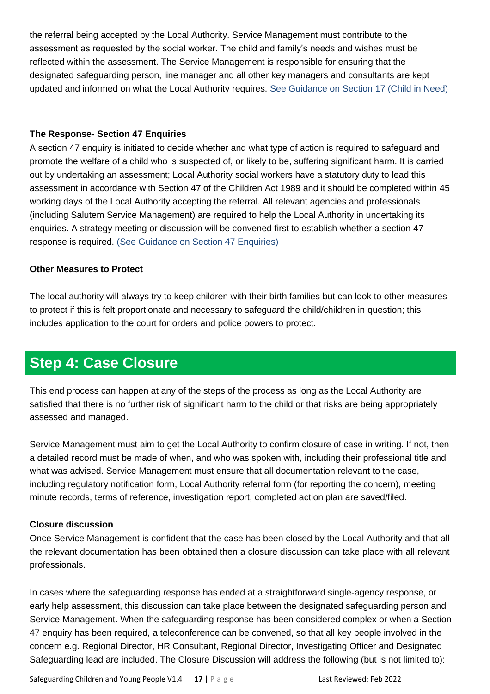the referral being accepted by the Local Authority. Service Management must contribute to the assessment as requested by the social worker. The child and family's needs and wishes must be reflected within the assessment. The Service Management is responsible for ensuring that the designated safeguarding person, line manager and all other key managers and consultants are kept updated and informed on what the Local Authority requires. See Guidance on Section 17 (Child in Need)

#### **The Response- Section 47 Enquiries**

A section 47 enquiry is initiated to decide whether and what type of action is required to safeguard and promote the welfare of a child who is suspected of, or likely to be, suffering significant harm. It is carried out by undertaking an assessment; Local Authority social workers have a statutory duty to lead this assessment in accordance with Section 47 of the Children Act 1989 and it should be completed within 45 working days of the Local Authority accepting the referral. All relevant agencies and professionals (including Salutem Service Management) are required to help the Local Authority in undertaking its enquiries. A strategy meeting or discussion will be convened first to establish whether a section 47 response is required. (See Guidance on Section 47 Enquiries)

### **Other Measures to Protect**

The local authority will always try to keep children with their birth families but can look to other measures to protect if this is felt proportionate and necessary to safeguard the child/children in question; this includes application to the court for orders and police powers to protect.

# **Step 4: Case Closure**

This end process can happen at any of the steps of the process as long as the Local Authority are satisfied that there is no further risk of significant harm to the child or that risks are being appropriately assessed and managed.

Service Management must aim to get the Local Authority to confirm closure of case in writing. If not, then a detailed record must be made of when, and who was spoken with, including their professional title and what was advised. Service Management must ensure that all documentation relevant to the case, including regulatory notification form, Local Authority referral form (for reporting the concern), meeting minute records, terms of reference, investigation report, completed action plan are saved/filed.

### **Closure discussion**

Once Service Management is confident that the case has been closed by the Local Authority and that all the relevant documentation has been obtained then a closure discussion can take place with all relevant professionals.

In cases where the safeguarding response has ended at a straightforward single-agency response, or early help assessment, this discussion can take place between the designated safeguarding person and Service Management. When the safeguarding response has been considered complex or when a Section 47 enquiry has been required, a teleconference can be convened, so that all key people involved in the concern e.g. Regional Director, HR Consultant, Regional Director, Investigating Officer and Designated Safeguarding lead are included. The Closure Discussion will address the following (but is not limited to):

Safeguarding Children and Young People V1.4 **17** | P a g e Last Reviewed: Feb 2022